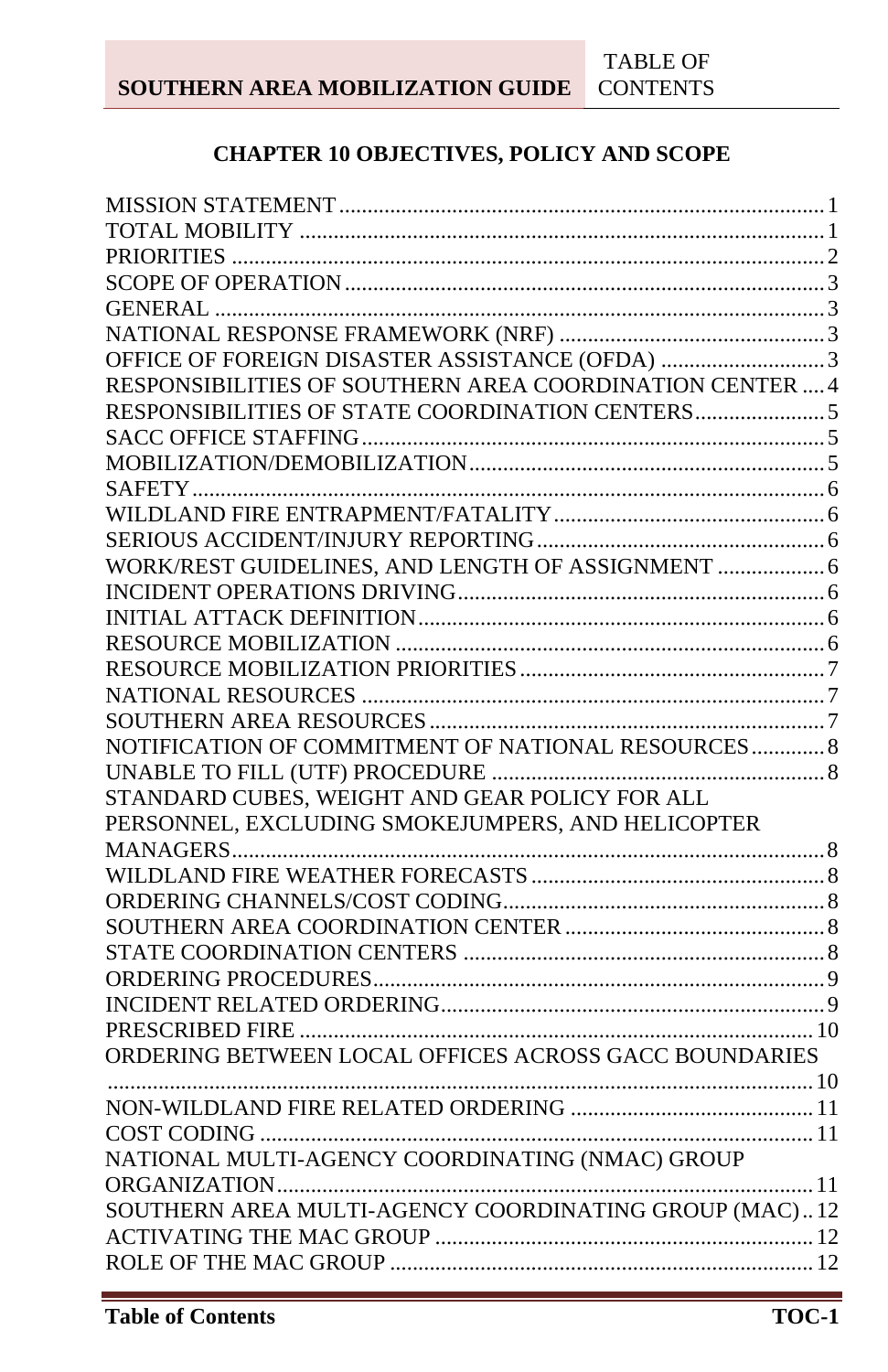## **CHAPTER 10 OBJECTIVES, POLICY AND SCOPE**

| OFFICE OF FOREIGN DISASTER ASSISTANCE (OFDA) 3           |  |
|----------------------------------------------------------|--|
| RESPONSIBILITIES OF SOUTHERN AREA COORDINATION CENTER  4 |  |
| RESPONSIBILITIES OF STATE COORDINATION CENTERS           |  |
|                                                          |  |
|                                                          |  |
|                                                          |  |
|                                                          |  |
|                                                          |  |
| WORK/REST GUIDELINES, AND LENGTH OF ASSIGNMENT  6        |  |
|                                                          |  |
|                                                          |  |
|                                                          |  |
|                                                          |  |
|                                                          |  |
|                                                          |  |
| NOTIFICATION OF COMMITMENT OF NATIONAL RESOURCES 8       |  |
|                                                          |  |
| STANDARD CUBES, WEIGHT AND GEAR POLICY FOR ALL           |  |
| PERSONNEL, EXCLUDING SMOKEJUMPERS, AND HELICOPTER        |  |
|                                                          |  |
|                                                          |  |
|                                                          |  |
|                                                          |  |
|                                                          |  |
|                                                          |  |
|                                                          |  |
|                                                          |  |
| ORDERING BETWEEN LOCAL OFFICES ACROSS GACC BOUNDARIES    |  |
|                                                          |  |
|                                                          |  |
|                                                          |  |
| NATIONAL MULTI-AGENCY COORDINATING (NMAC) GROUP          |  |
|                                                          |  |
| SOUTHERN AREA MULTI-AGENCY COORDINATING GROUP (MAC)12    |  |
|                                                          |  |
|                                                          |  |
|                                                          |  |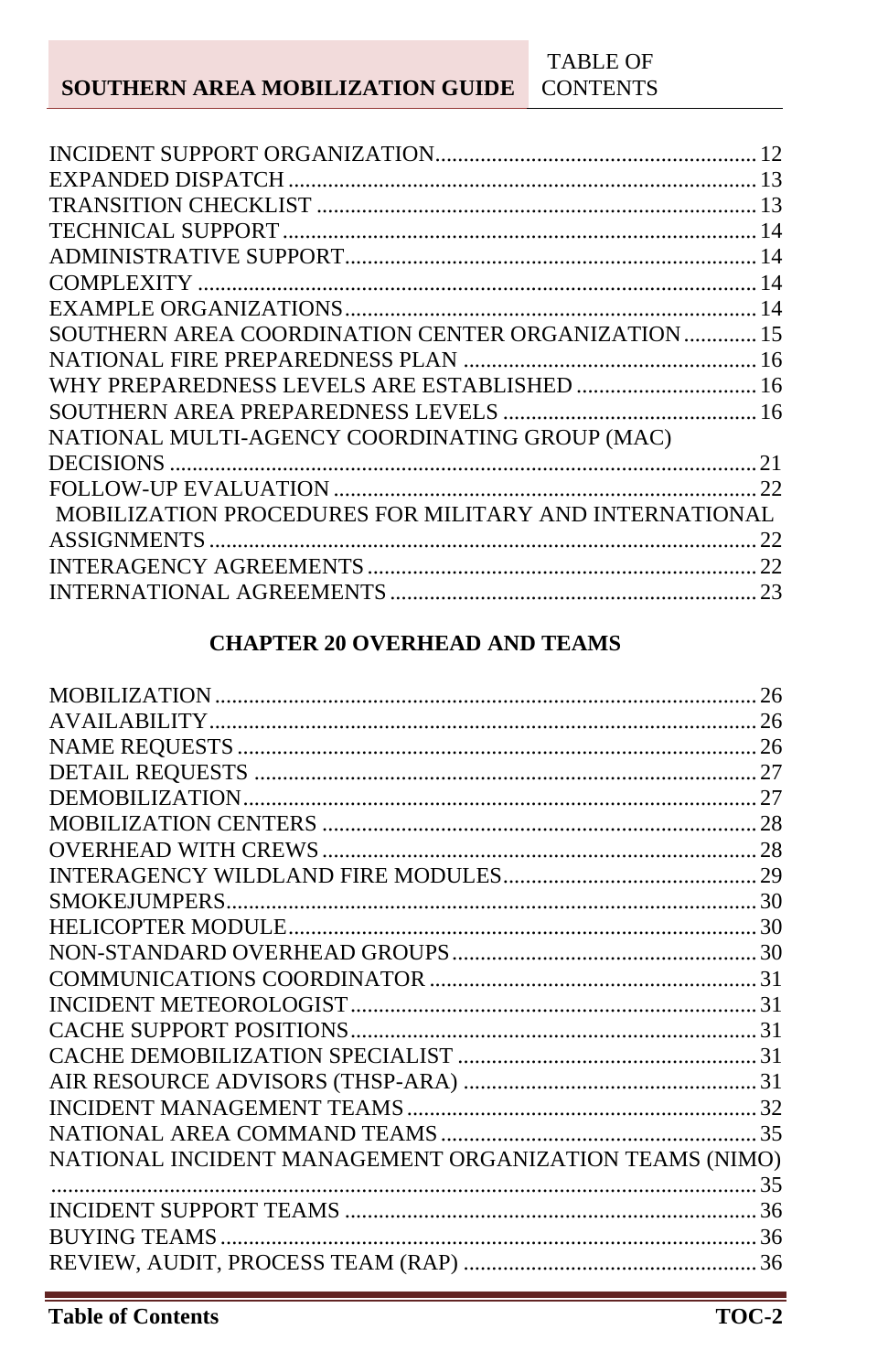| SOUTHERN AREA COORDINATION CENTER ORGANIZATION  15     |  |
|--------------------------------------------------------|--|
|                                                        |  |
|                                                        |  |
|                                                        |  |
| NATIONAL MULTI-AGENCY COORDINATING GROUP (MAC)         |  |
|                                                        |  |
|                                                        |  |
| MOBILIZATION PROCEDURES FOR MILITARY AND INTERNATIONAL |  |
|                                                        |  |
|                                                        |  |
|                                                        |  |
|                                                        |  |

## **CHAPTER 20 OVERHEAD AND TEAMS**

| NATIONAL INCIDENT MANAGEMENT ORGANIZATION TEAMS (NIMO) |  |
|--------------------------------------------------------|--|
|                                                        |  |
|                                                        |  |
|                                                        |  |
|                                                        |  |
|                                                        |  |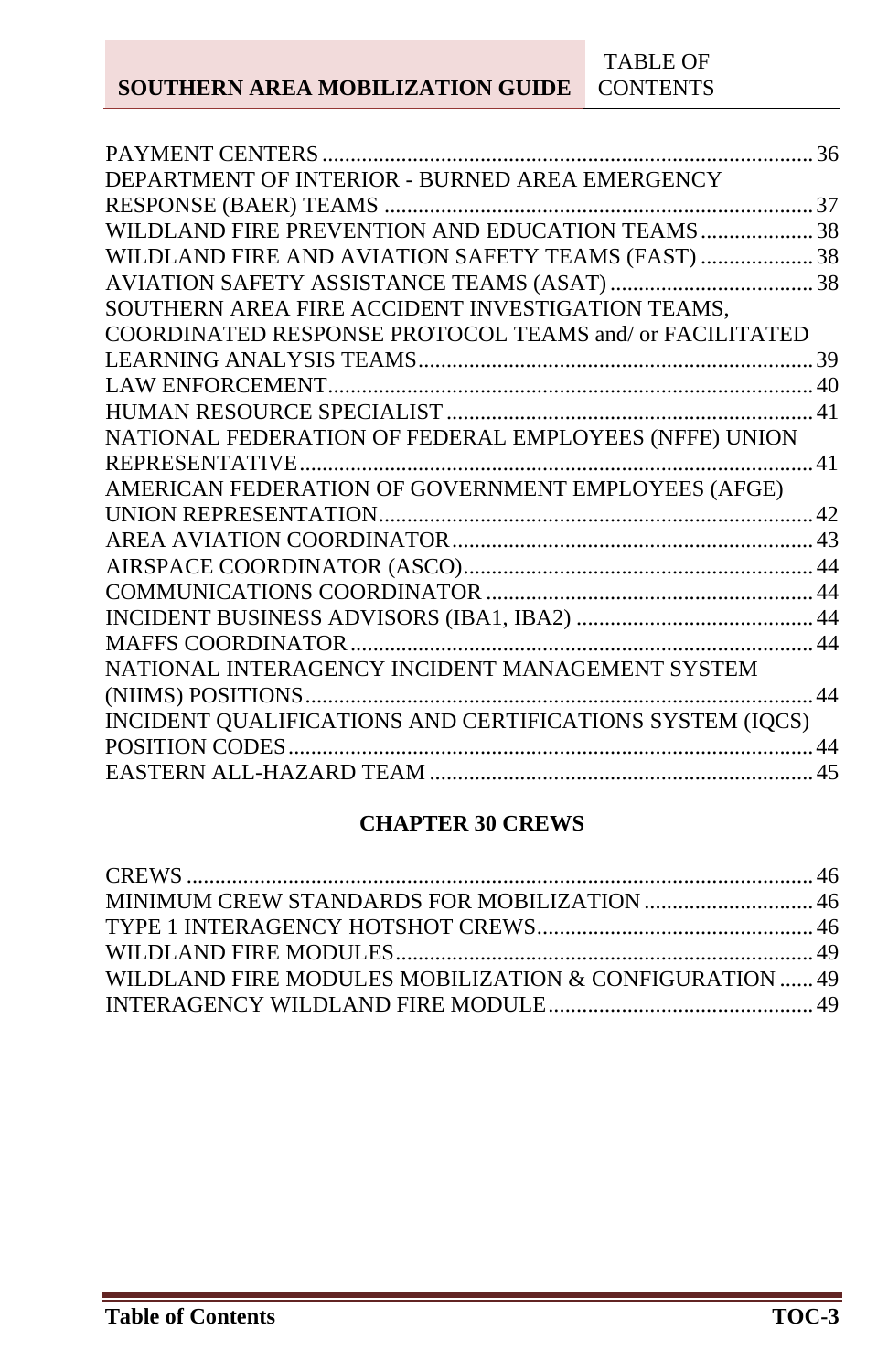| PAYMENT CENTERS                                          | 36 |
|----------------------------------------------------------|----|
| DEPARTMENT OF INTERIOR - BURNED AREA EMERGENCY           |    |
|                                                          |    |
| WILDLAND FIRE PREVENTION AND EDUCATION TEAMS 38          |    |
| WILDLAND FIRE AND AVIATION SAFETY TEAMS (FAST)  38       |    |
|                                                          |    |
| SOUTHERN AREA FIRE ACCIDENT INVESTIGATION TEAMS,         |    |
| COORDINATED RESPONSE PROTOCOL TEAMS and/or FACILITATED   |    |
|                                                          |    |
|                                                          |    |
|                                                          |    |
| NATIONAL FEDERATION OF FEDERAL EMPLOYEES (NFFE) UNION    |    |
|                                                          |    |
|                                                          |    |
|                                                          |    |
|                                                          |    |
|                                                          |    |
|                                                          |    |
|                                                          |    |
|                                                          |    |
| NATIONAL INTERAGENCY INCIDENT MANAGEMENT SYSTEM          |    |
|                                                          |    |
| INCIDENT QUALIFICATIONS AND CERTIFICATIONS SYSTEM (IQCS) |    |
|                                                          |    |
|                                                          |    |
|                                                          |    |

#### **CHAPTER 30 CREWS**

| WILDLAND FIRE MODULES MOBILIZATION & CONFIGURATION  49 |  |
|--------------------------------------------------------|--|
|                                                        |  |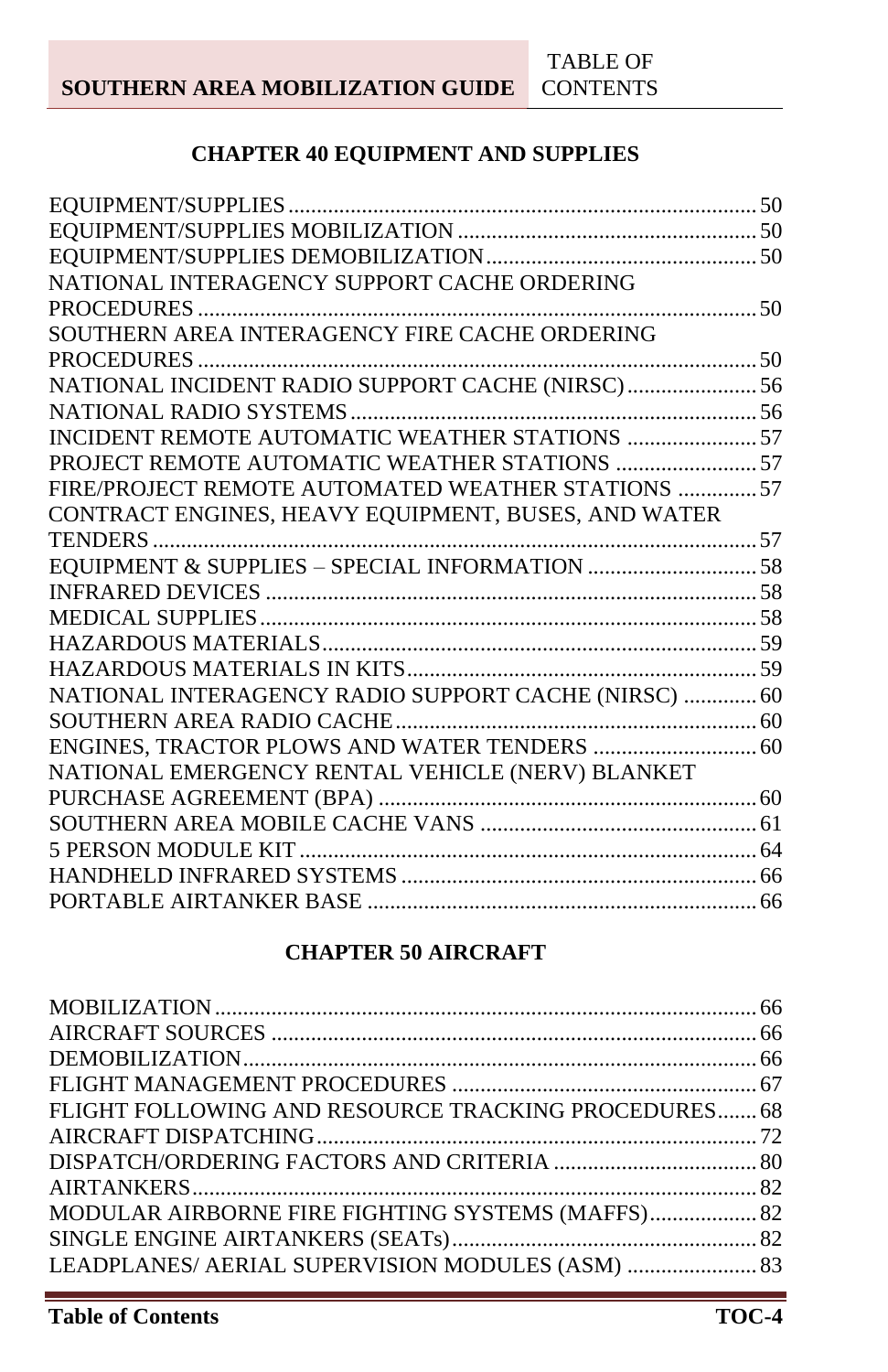## **CHAPTER 40 EQUIPMENT AND SUPPLIES**

| NATIONAL INTERAGENCY SUPPORT CACHE ORDERING          |  |
|------------------------------------------------------|--|
|                                                      |  |
| SOUTHERN AREA INTERAGENCY FIRE CACHE ORDERING        |  |
|                                                      |  |
|                                                      |  |
|                                                      |  |
| INCIDENT REMOTE AUTOMATIC WEATHER STATIONS  57       |  |
|                                                      |  |
| FIRE/PROJECT REMOTE AUTOMATED WEATHER STATIONS 57    |  |
| CONTRACT ENGINES, HEAVY EQUIPMENT, BUSES, AND WATER  |  |
|                                                      |  |
| EQUIPMENT & SUPPLIES - SPECIAL INFORMATION 58        |  |
|                                                      |  |
|                                                      |  |
|                                                      |  |
|                                                      |  |
| NATIONAL INTERAGENCY RADIO SUPPORT CACHE (NIRSC)  60 |  |
|                                                      |  |
|                                                      |  |
| NATIONAL EMERGENCY RENTAL VEHICLE (NERV) BLANKET     |  |
|                                                      |  |
|                                                      |  |
|                                                      |  |
|                                                      |  |
|                                                      |  |

## **CHAPTER 50 AIRCRAFT**

| FLIGHT FOLLOWING AND RESOURCE TRACKING PROCEDURES 68     |  |
|----------------------------------------------------------|--|
|                                                          |  |
|                                                          |  |
|                                                          |  |
| <b>MODULAR AIRBORNE FIRE FIGHTING SYSTEMS (MAFFS) 82</b> |  |
|                                                          |  |
| LEADPLANES/ AERIAL SUPERVISION MODULES (ASM)  83         |  |
|                                                          |  |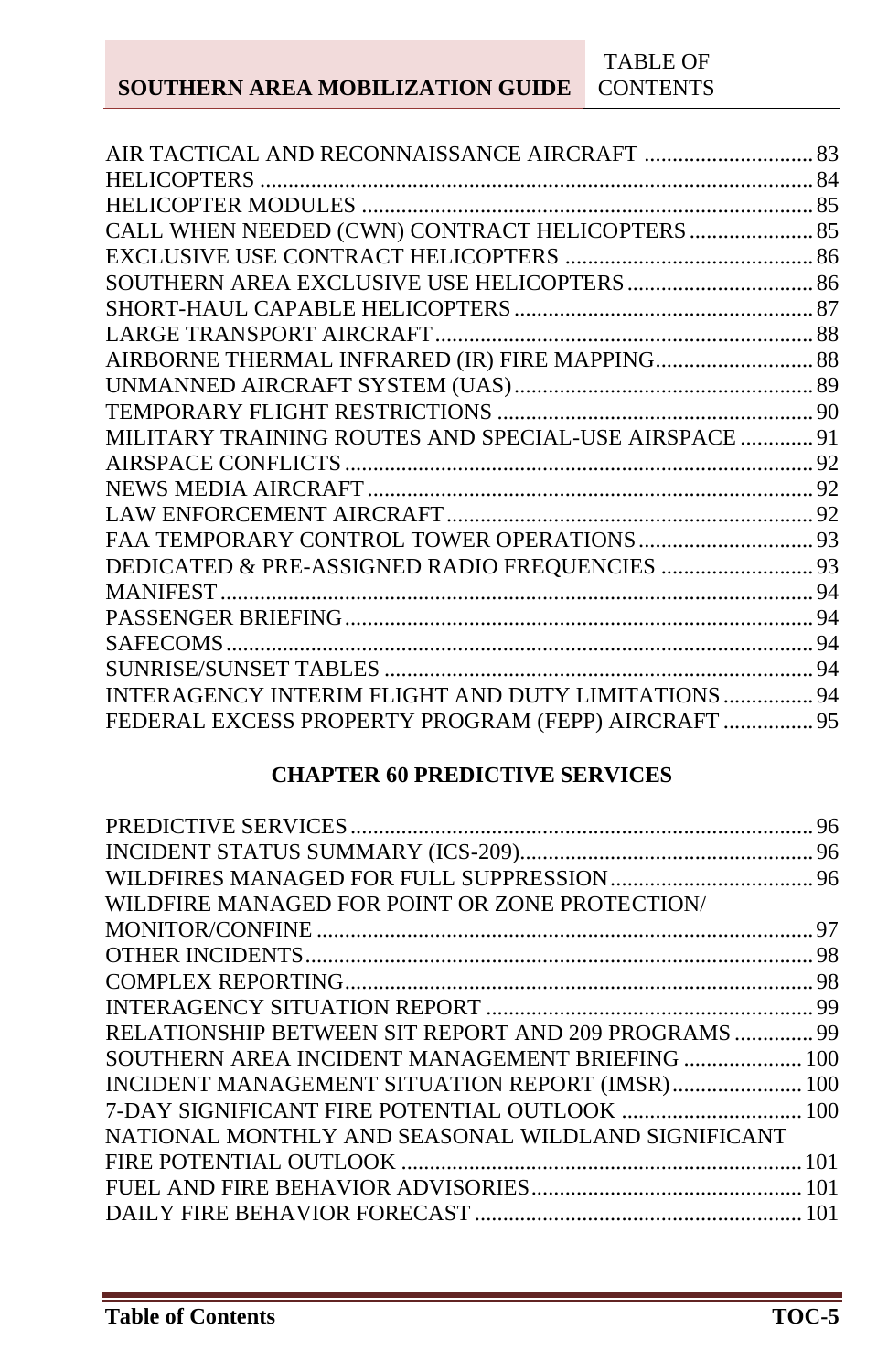| CALL WHEN NEEDED (CWN) CONTRACT HELICOPTERS  85       |  |
|-------------------------------------------------------|--|
|                                                       |  |
|                                                       |  |
|                                                       |  |
|                                                       |  |
| AIRBORNE THERMAL INFRARED (IR) FIRE MAPPING 88        |  |
|                                                       |  |
|                                                       |  |
| MILITARY TRAINING ROUTES AND SPECIAL-USE AIRSPACE  91 |  |
|                                                       |  |
|                                                       |  |
|                                                       |  |
|                                                       |  |
| DEDICATED & PRE-ASSIGNED RADIO FREQUENCIES  93        |  |
|                                                       |  |
|                                                       |  |
|                                                       |  |
|                                                       |  |
| INTERAGENCY INTERIM FLIGHT AND DUTY LIMITATIONS  94   |  |
| FEDERAL EXCESS PROPERTY PROGRAM (FEPP) AIRCRAFT  95   |  |
|                                                       |  |

## **CHAPTER 60 PREDICTIVE SERVICES**

|                                                      | 96 |
|------------------------------------------------------|----|
|                                                      |    |
|                                                      |    |
| WILDFIRE MANAGED FOR POINT OR ZONE PROTECTION        |    |
|                                                      |    |
|                                                      |    |
|                                                      |    |
|                                                      |    |
| RELATIONSHIP BETWEEN SIT REPORT AND 209 PROGRAMS  99 |    |
| SOUTHERN AREA INCIDENT MANAGEMENT BRIEFING  100      |    |
| INCIDENT MANAGEMENT SITUATION REPORT (IMSR) 100      |    |
|                                                      |    |
| NATIONAL MONTHLY AND SEASONAL WILDLAND SIGNIFICANT   |    |
|                                                      |    |
|                                                      |    |
|                                                      |    |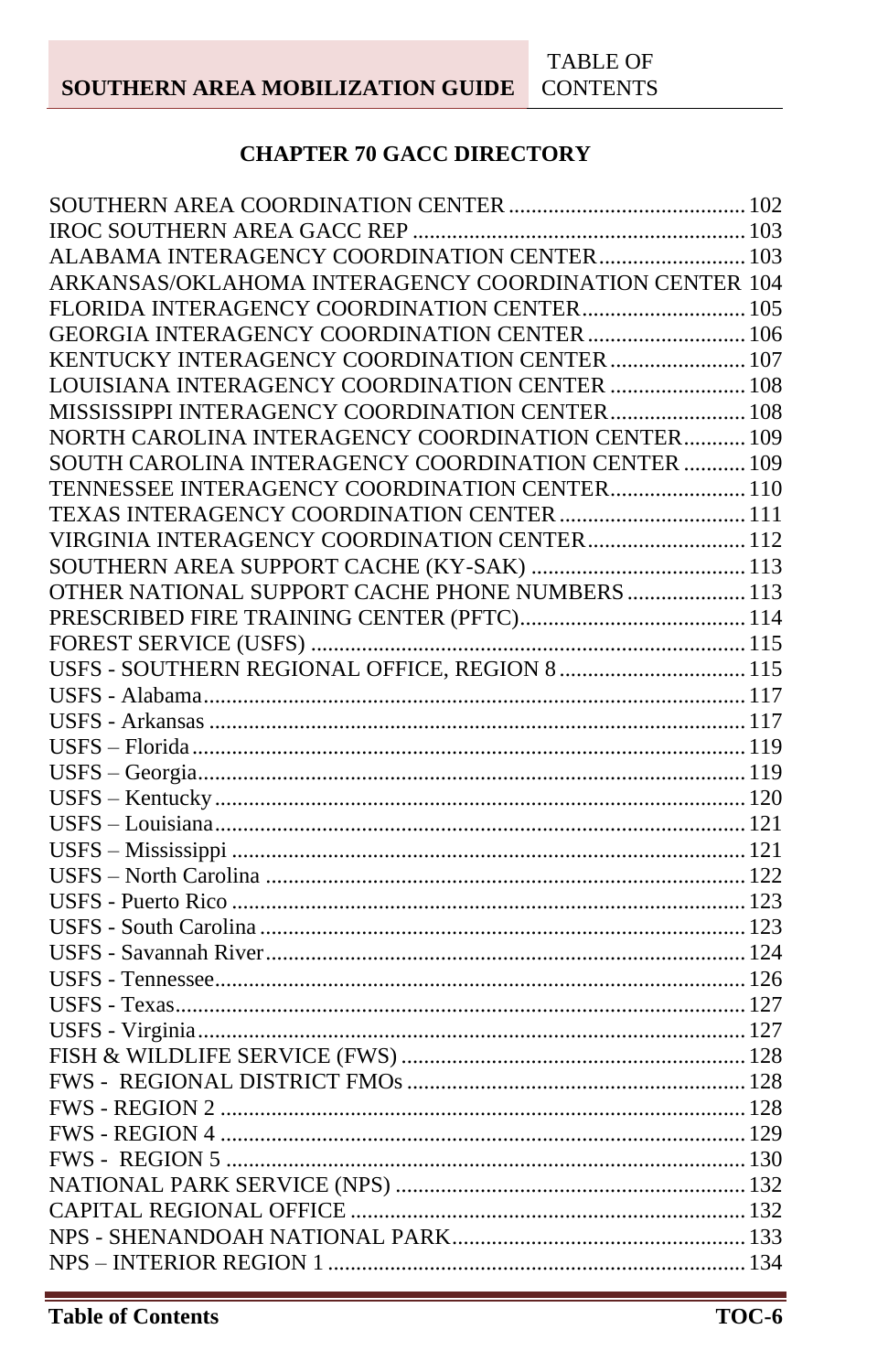## **CHAPTER 70 GACC DIRECTORY**

| ARKANSAS/OKLAHOMA INTERAGENCY COORDINATION CENTER 104 |  |
|-------------------------------------------------------|--|
| FLORIDA INTERAGENCY COORDINATION CENTER 105           |  |
| GEORGIA INTERAGENCY COORDINATION CENTER  106          |  |
| KENTUCKY INTERAGENCY COORDINATION CENTER  107         |  |
| LOUISIANA INTERAGENCY COORDINATION CENTER  108        |  |
| MISSISSIPPI INTERAGENCY COORDINATION CENTER 108       |  |
| NORTH CAROLINA INTERAGENCY COORDINATION CENTER 109    |  |
| SOUTH CAROLINA INTERAGENCY COORDINATION CENTER  109   |  |
| TENNESSEE INTERAGENCY COORDINATION CENTER 110         |  |
| TEXAS INTERAGENCY COORDINATION CENTER  111            |  |
| VIRGINIA INTERAGENCY COORDINATION CENTER 112          |  |
|                                                       |  |
| OTHER NATIONAL SUPPORT CACHE PHONE NUMBERS  113       |  |
|                                                       |  |
|                                                       |  |
| USFS - SOUTHERN REGIONAL OFFICE, REGION 8  115        |  |
|                                                       |  |
|                                                       |  |
|                                                       |  |
|                                                       |  |
|                                                       |  |
|                                                       |  |
|                                                       |  |
|                                                       |  |
|                                                       |  |
|                                                       |  |
|                                                       |  |
|                                                       |  |
|                                                       |  |
|                                                       |  |
|                                                       |  |
|                                                       |  |
|                                                       |  |
|                                                       |  |
|                                                       |  |
|                                                       |  |
|                                                       |  |
|                                                       |  |
|                                                       |  |
|                                                       |  |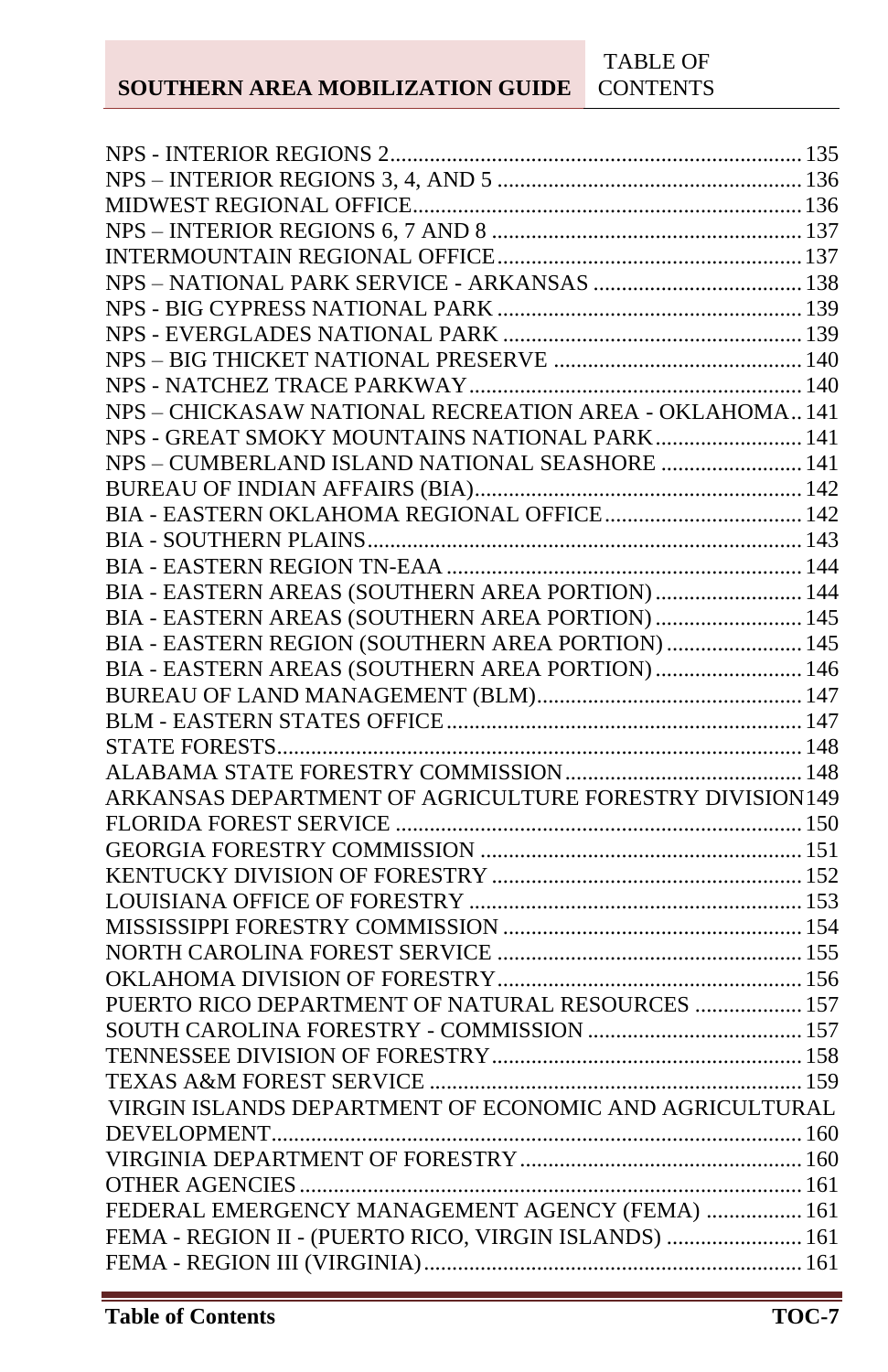| NPS - CHICKASAW NATIONAL RECREATION AREA - OKLAHOMA141  |  |
|---------------------------------------------------------|--|
| NPS - GREAT SMOKY MOUNTAINS NATIONAL PARK 141           |  |
| NPS - CUMBERLAND ISLAND NATIONAL SEASHORE  141          |  |
|                                                         |  |
|                                                         |  |
|                                                         |  |
|                                                         |  |
| BIA - EASTERN AREAS (SOUTHERN AREA PORTION)  144        |  |
| BIA - EASTERN AREAS (SOUTHERN AREA PORTION)  145        |  |
| BIA - EASTERN REGION (SOUTHERN AREA PORTION)  145       |  |
| BIA - EASTERN AREAS (SOUTHERN AREA PORTION) 146         |  |
|                                                         |  |
|                                                         |  |
|                                                         |  |
|                                                         |  |
| ARKANSAS DEPARTMENT OF AGRICULTURE FORESTRY DIVISION149 |  |
|                                                         |  |
|                                                         |  |
|                                                         |  |
|                                                         |  |
|                                                         |  |
|                                                         |  |
|                                                         |  |
|                                                         |  |
| PUERTO RICO DEPARTMENT OF NATURAL RESOURCES  157        |  |
|                                                         |  |
|                                                         |  |
|                                                         |  |
| VIRGIN ISLANDS DEPARTMENT OF ECONOMIC AND AGRICULTURAL  |  |
|                                                         |  |
|                                                         |  |
|                                                         |  |
| FEDERAL EMERGENCY MANAGEMENT AGENCY (FEMA)  161         |  |
| FEMA - REGION II - (PUERTO RICO, VIRGIN ISLANDS)  161   |  |
|                                                         |  |
|                                                         |  |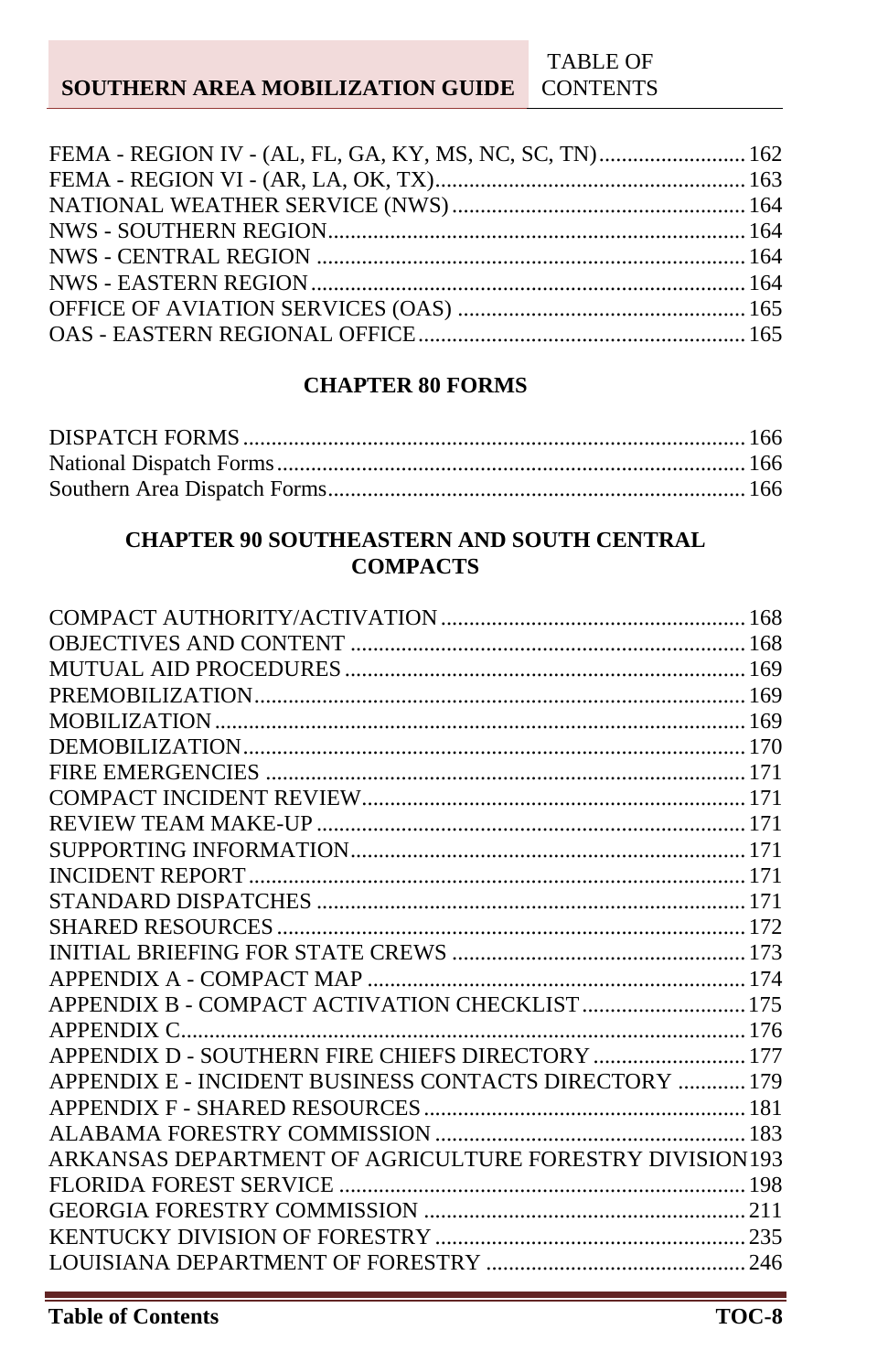#### **SOUTHERN AREA MOBILIZATION GUIDE CONTENTS**

TABLE OF

#### **CHAPTER 80 FORMS**

#### **CHAPTER 90 SOUTHEASTERN AND SOUTH CENTRAL COMPACTS**

| APPENDIX B - COMPACT ACTIVATION CHECKLIST  175          |  |
|---------------------------------------------------------|--|
|                                                         |  |
| APPENDIX D - SOUTHERN FIRE CHIEFS DIRECTORY  177        |  |
| APPENDIX E - INCIDENT BUSINESS CONTACTS DIRECTORY  179  |  |
|                                                         |  |
|                                                         |  |
| ARKANSAS DEPARTMENT OF AGRICULTURE FORESTRY DIVISION193 |  |
|                                                         |  |
|                                                         |  |
|                                                         |  |
|                                                         |  |
|                                                         |  |